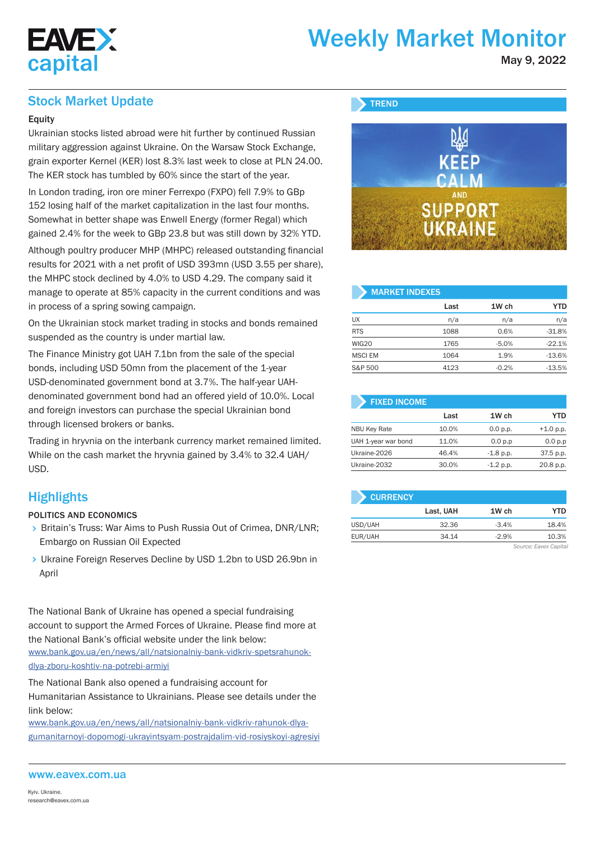

# Weekly Market Monitor

May 9, 2022

## Stock Market Update

## **Equity**

Ukrainian stocks listed abroad were hit further by continued Russian military aggression against Ukraine. On the Warsaw Stock Exchange, grain exporter Kernel (KER) lost 8.3% last week to close at PLN 24.00. The KER stock has tumbled by 60% since the start of the year.

In London trading, iron ore miner Ferrexpo (FXPO) fell 7.9% to GBp 152 losing half of the market capitalization in the last four months. Somewhat in better shape was Enwell Energy (former Regal) which gained 2.4% for the week to GBp 23.8 but was still down by 32% YTD.

Although poultry producer MHP (MHPC) released outstanding financial results for 2021 with a net profit of USD 393mn (USD 3.55 per share), the MHPC stock declined by 4.0% to USD 4.29. The company said it manage to operate at 85% capacity in the current conditions and was in process of a spring sowing campaign.

On the Ukrainian stock market trading in stocks and bonds remained suspended as the country is under martial law.

The Finance Ministry got UAH 7.1bn from the sale of the special bonds, including USD 50mn from the placement of the 1-year USD-denominated government bond at 3.7%. The half-year UAHdenominated government bond had an offered yield of 10.0%. Local and foreign investors can purchase the special Ukrainian bond through licensed brokers or banks.

Trading in hryvnia on the interbank currency market remained limited. While on the cash market the hryvnia gained by 3.4% to 32.4 UAH/ USD.

## **Highlights**

### POLITICS AND ECONOMICS

- > Britain's Truss: War Aims to Push Russia Out of Crimea, DNR/LNR; Embargo on Russian Oil Expected
- Ukraine Foreign Reserves Decline by USD 1.2bn to USD 26.9bn in April

The National Bank of Ukraine has opened a special fundraising account to support the Armed Forces of Ukraine. Please find more at the National Bank's official website under the link below: www.bank.gov.ua/en/news/all/natsionalniy-bank-vidkriv-spetsrahunokdlya-zboru-koshtiv-na-potrebi-armiyi

The National Bank also opened a fundraising account for Humanitarian Assistance to Ukrainians. Please see details under the link below:

www.bank.gov.ua/en/news/all/natsionalniy-bank-vidkriv-rahunok-dlyagumanitarnoyi-dopomogi-ukrayintsyam-postrajdalim-vid-rosiyskoyi-agresiyi



| <b>MARKET INDEXES</b> |      |         |            |  |  |  |  |  |  |  |
|-----------------------|------|---------|------------|--|--|--|--|--|--|--|
|                       | Last | 1W ch   | <b>YTD</b> |  |  |  |  |  |  |  |
| <b>UX</b>             | n/a  | n/a     | n/a        |  |  |  |  |  |  |  |
| <b>RTS</b>            | 1088 | 0.6%    | $-31.8%$   |  |  |  |  |  |  |  |
| <b>WIG20</b>          | 1765 | $-5.0%$ | $-22.1%$   |  |  |  |  |  |  |  |
| <b>MSCI EM</b>        | 1064 | 1.9%    | $-13.6%$   |  |  |  |  |  |  |  |
| S&P 500               | 4123 | $-0.2%$ | $-13.5%$   |  |  |  |  |  |  |  |

| <b>FIXED INCOME</b> |       |             |             |
|---------------------|-------|-------------|-------------|
|                     | Last  | 1W ch       | YTD         |
| <b>NBU Key Rate</b> | 10.0% | 0.0 p.p.    | $+1.0$ p.p. |
| UAH 1-year war bond | 11.0% | 0.0 p.p     | 0.0 p.p     |
| Ukraine-2026        | 46.4% | $-1.8$ p.p. | 37.5 p.p.   |
| Ukraine-2032        | 30.0% | $-1.2 p.p.$ | 20.8 p.p.   |

| <b>CURRENCY</b> |           |         |                       |
|-----------------|-----------|---------|-----------------------|
|                 | Last, UAH | 1W ch   | YTD                   |
| USD/UAH         | 32.36     | $-3.4%$ | 18.4%                 |
| EUR/UAH         | 34.14     | $-2.9%$ | 10.3%                 |
|                 |           |         | Source: Eavex Capital |

### www.eavex.com.ua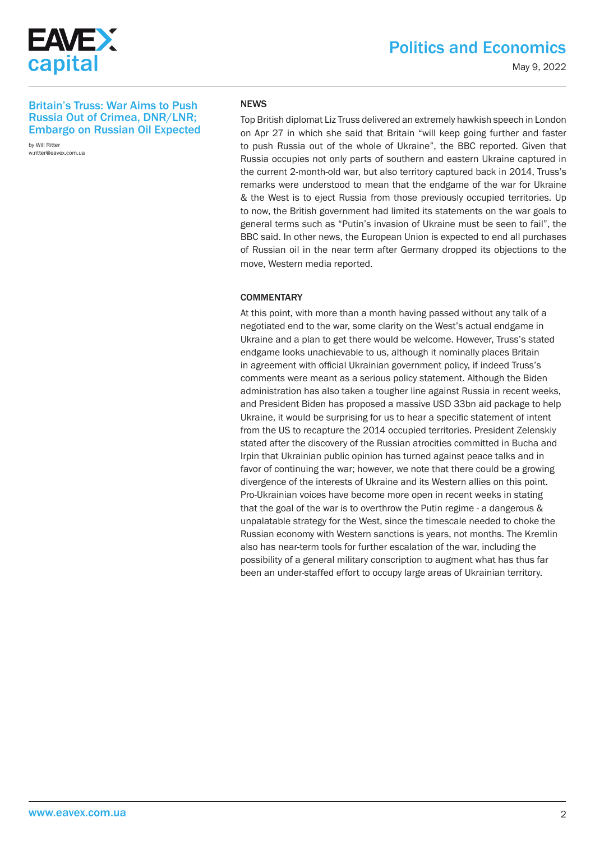

May 9, 2022

## Britain's Truss: War Aims to Push Russia Out of Crimea, DNR/LNR; Embargo on Russian Oil Expected

by Will Ritter w.ritter@eavex.com.ua

## NEWS

Top British diplomat Liz Truss delivered an extremely hawkish speech in London on Apr 27 in which she said that Britain "will keep going further and faster to push Russia out of the whole of Ukraine", the BBC reported. Given that Russia occupies not only parts of southern and eastern Ukraine captured in the current 2-month-old war, but also territory captured back in 2014, Truss's remarks were understood to mean that the endgame of the war for Ukraine & the West is to eject Russia from those previously occupied territories. Up to now, the British government had limited its statements on the war goals to general terms such as "Putin's invasion of Ukraine must be seen to fail", the BBC said. In other news, the European Union is expected to end all purchases of Russian oil in the near term after Germany dropped its objections to the move, Western media reported.

#### **COMMENTARY**

At this point, with more than a month having passed without any talk of a negotiated end to the war, some clarity on the West's actual endgame in Ukraine and a plan to get there would be welcome. However, Truss's stated endgame looks unachievable to us, although it nominally places Britain in agreement with official Ukrainian government policy, if indeed Truss's comments were meant as a serious policy statement. Although the Biden administration has also taken a tougher line against Russia in recent weeks, and President Biden has proposed a massive USD 33bn aid package to help Ukraine, it would be surprising for us to hear a specific statement of intent from the US to recapture the 2014 occupied territories. President Zelenskiy stated after the discovery of the Russian atrocities committed in Bucha and Irpin that Ukrainian public opinion has turned against peace talks and in favor of continuing the war; however, we note that there could be a growing divergence of the interests of Ukraine and its Western allies on this point. Pro-Ukrainian voices have become more open in recent weeks in stating that the goal of the war is to overthrow the Putin regime - a dangerous & unpalatable strategy for the West, since the timescale needed to choke the Russian economy with Western sanctions is years, not months. The Kremlin also has near-term tools for further escalation of the war, including the possibility of a general military conscription to augment what has thus far been an under-staffed effort to occupy large areas of Ukrainian territory.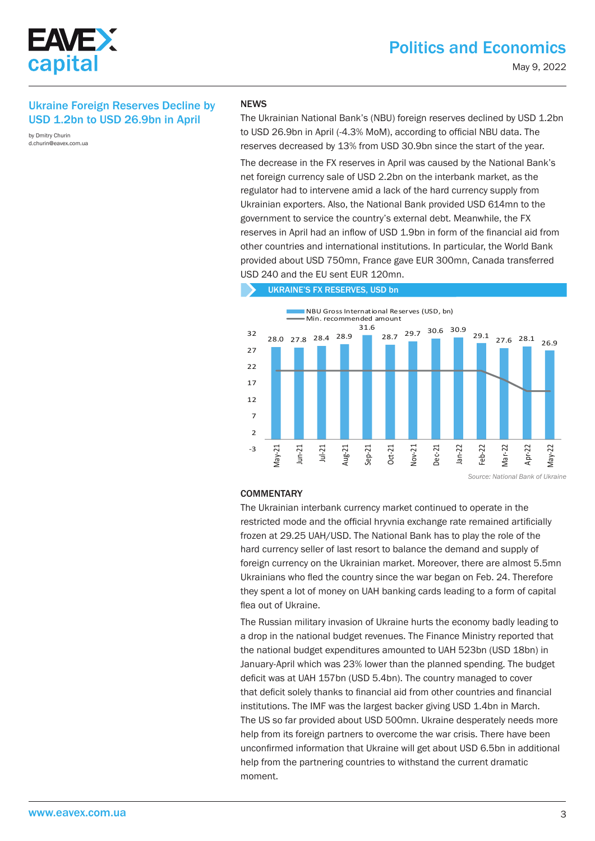

## Ukraine Foreign Reserves Decline by USD 1.2bn to USD 26.9bn in April

by Dmitry Churin d.churin@eavex.com.ua

#### **NEWS**

The Ukrainian National Bank's (NBU) foreign reserves declined by USD 1.2bn to USD 26.9bn in April (-4.3% MoM), according to official NBU data. The reserves decreased by 13% from USD 30.9bn since the start of the year.

The decrease in the FX reserves in April was caused by the National Bank's net foreign currency sale of USD 2.2bn on the interbank market, as the regulator had to intervene amid a lack of the hard currency supply from Ukrainian exporters. Also, the National Bank provided USD 614mn to the government to service the country's external debt. Meanwhile, the FX reserves in April had an inflow of USD 1.9bn in form of the financial aid from other countries and international institutions. In particular, the World Bank provided about USD 750mn, France gave EUR 300mn, Canada transferred USD 240 and the EU sent EUR 120mn.

UKRAINE'S FX RESERVES, USD bn



*Source: National Bank of Ukraine*

#### **COMMENTARY**

The Ukrainian interbank currency market continued to operate in the restricted mode and the official hryvnia exchange rate remained artificially frozen at 29.25 UAH/USD. The National Bank has to play the role of the hard currency seller of last resort to balance the demand and supply of foreign currency on the Ukrainian market. Moreover, there are almost 5.5mn Ukrainians who fled the country since the war began on Feb. 24. Therefore they spent a lot of money on UAH banking cards leading to a form of capital flea out of Ukraine.

The Russian military invasion of Ukraine hurts the economy badly leading to a drop in the national budget revenues. The Finance Ministry reported that the national budget expenditures amounted to UAH 523bn (USD 18bn) in January-April which was 23% lower than the planned spending. The budget deficit was at UAH 157bn (USD 5.4bn). The country managed to cover that deficit solely thanks to financial aid from other countries and financial institutions. The IMF was the largest backer giving USD 1.4bn in March. The US so far provided about USD 500mn. Ukraine desperately needs more help from its foreign partners to overcome the war crisis. There have been unconfirmed information that Ukraine will get about USD 6.5bn in additional help from the partnering countries to withstand the current dramatic moment.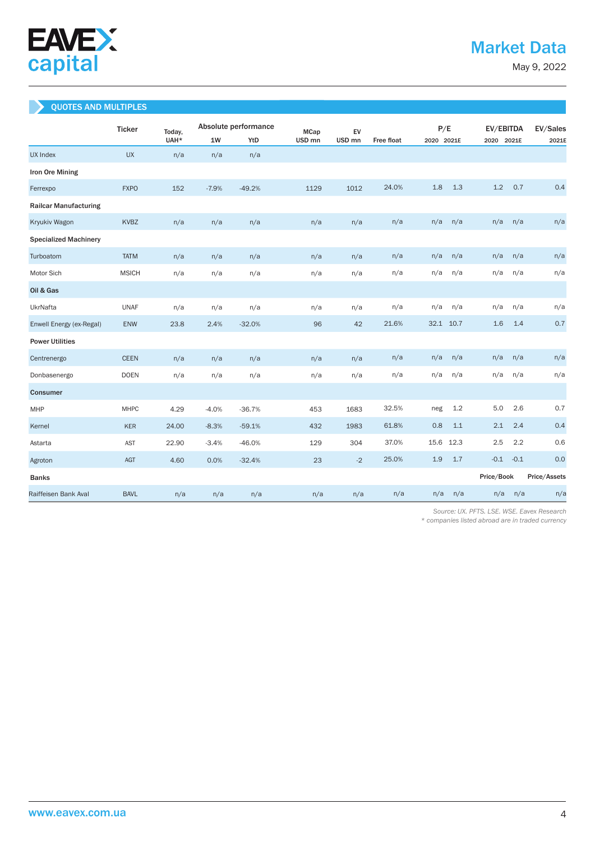

May 9, 2022

## QUOTES AND MULTIPLES

|                              | <b>Ticker</b> | Today, | Absolute performance |          | <b>MCap</b>       |                   | EV         |      | P/E        |            | EV/EBITDA  |              |  |
|------------------------------|---------------|--------|----------------------|----------|-------------------|-------------------|------------|------|------------|------------|------------|--------------|--|
|                              |               | UAH*   | 1W                   | YtD      | USD <sub>mn</sub> | USD <sub>mn</sub> | Free float |      | 2020 2021E |            | 2020 2021E | 2021E        |  |
| <b>UX Index</b>              | <b>UX</b>     | n/a    | n/a                  | n/a      |                   |                   |            |      |            |            |            |              |  |
| Iron Ore Mining              |               |        |                      |          |                   |                   |            |      |            |            |            |              |  |
| Ferrexpo                     | <b>FXPO</b>   | 152    | $-7.9%$              | $-49.2%$ | 1129              | 1012              | 24.0%      | 1.8  | 1.3        | 1.2        | 0.7        | 0.4          |  |
| <b>Railcar Manufacturing</b> |               |        |                      |          |                   |                   |            |      |            |            |            |              |  |
| Kryukiv Wagon                | KVBZ          | n/a    | n/a                  | n/a      | n/a               | n/a               | n/a        | n/a  | n/a        | n/a        | n/a        | n/a          |  |
| <b>Specialized Machinery</b> |               |        |                      |          |                   |                   |            |      |            |            |            |              |  |
| Turboatom                    | <b>TATM</b>   | n/a    | n/a                  | n/a      | n/a               | n/a               | n/a        | n/a  | n/a        | n/a        | n/a        | n/a          |  |
| Motor Sich                   | <b>MSICH</b>  | n/a    | n/a                  | n/a      | n/a               | n/a               | n/a        | n/a  | n/a        | n/a        | n/a        | n/a          |  |
| Oil & Gas                    |               |        |                      |          |                   |                   |            |      |            |            |            |              |  |
| UkrNafta                     | <b>UNAF</b>   | n/a    | n/a                  | n/a      | n/a               | n/a               | n/a        | n/a  | n/a        | n/a        | n/a        | n/a          |  |
| Enwell Energy (ex-Regal)     | <b>ENW</b>    | 23.8   | 2.4%                 | $-32.0%$ | 96                | 42                | 21.6%      | 32.1 | 10.7       | 1.6        | 1.4        | 0.7          |  |
| <b>Power Utilities</b>       |               |        |                      |          |                   |                   |            |      |            |            |            |              |  |
| Centrenergo                  | <b>CEEN</b>   | n/a    | n/a                  | n/a      | n/a               | n/a               | n/a        | n/a  | n/a        | n/a        | n/a        | n/a          |  |
| Donbasenergo                 | <b>DOEN</b>   | n/a    | n/a                  | n/a      | n/a               | n/a               | n/a        | n/a  | n/a        | n/a        | n/a        | n/a          |  |
| <b>Consumer</b>              |               |        |                      |          |                   |                   |            |      |            |            |            |              |  |
| MHP                          | <b>MHPC</b>   | 4.29   | $-4.0%$              | $-36.7%$ | 453               | 1683              | 32.5%      | neg  | 1.2        | 5.0        | 2.6        | 0.7          |  |
| Kernel                       | <b>KER</b>    | 24.00  | $-8.3%$              | $-59.1%$ | 432               | 1983              | 61.8%      | 0.8  | 1.1        | 2.1        | 2.4        | 0.4          |  |
| Astarta                      | <b>AST</b>    | 22.90  | $-3.4%$              | $-46.0%$ | 129               | 304               | 37.0%      | 15.6 | 12.3       | 2.5        | 2.2        | 0.6          |  |
| Agroton                      | <b>AGT</b>    | 4.60   | 0.0%                 | $-32.4%$ | 23                | $-2$              | 25.0%      | 1.9  | 1.7        | $-0.1$     | $-0.1$     | 0.0          |  |
| <b>Banks</b>                 |               |        |                      |          |                   |                   |            |      |            | Price/Book |            | Price/Assets |  |
| Raiffeisen Bank Aval         | <b>BAVL</b>   | n/a    | n/a                  | n/a      | n/a               | n/a               | n/a        | n/a  | n/a        | n/a        | n/a        | n/a          |  |

 *Source: UX. PFTS. LSE. WSE. Eavex Research* 

*\* companies listed abroad are in traded currency*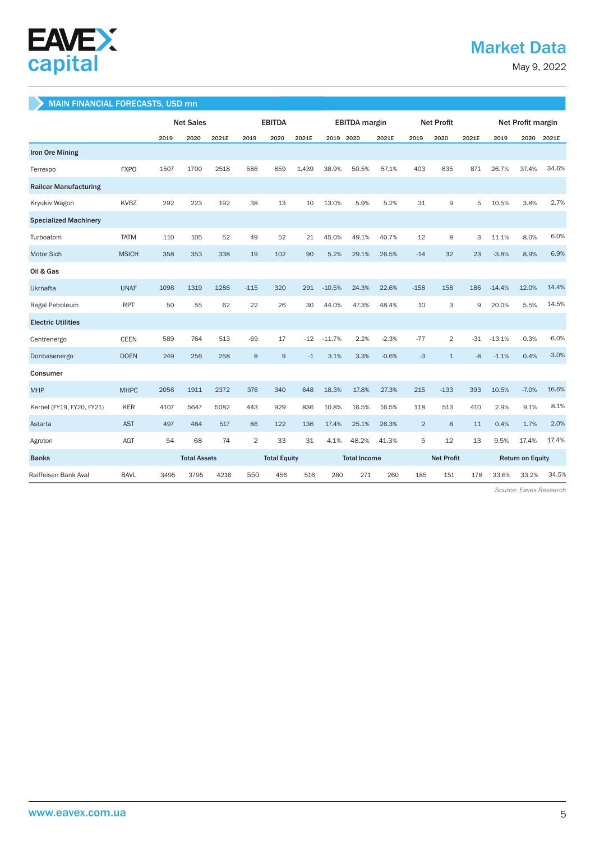

## Market Data

May 9, 2022

## MAIN FINANCIAL FORECASTS, USD mn

|                              |              | <b>Net Sales</b> |                     |       | <b>EBITDA</b>       |      |                     | <b>EBITDA</b> margin |       |                   | <b>Net Profit</b> |                |                         | Net Profit margin |         |         |
|------------------------------|--------------|------------------|---------------------|-------|---------------------|------|---------------------|----------------------|-------|-------------------|-------------------|----------------|-------------------------|-------------------|---------|---------|
|                              |              | 2019             | 2020                | 2021E | 2019                | 2020 | 2021E               | 2019 2020            |       | 2021E             | 2019              | 2020           | 2021E                   | 2019              | 2020    | 2021E   |
| <b>Iron Ore Mining</b>       |              |                  |                     |       |                     |      |                     |                      |       |                   |                   |                |                         |                   |         |         |
| Ferrexpo                     | <b>FXPO</b>  | 1507             | 1700                | 2518  | 586                 | 859  | 1.439               | 38.9%                | 50.5% | 57.1%             | 403               | 635            | 871                     | 26.7%             | 37.4%   | 34.6%   |
| <b>Railcar Manufacturing</b> |              |                  |                     |       |                     |      |                     |                      |       |                   |                   |                |                         |                   |         |         |
| Kryukiv Wagon                | <b>KVBZ</b>  | 292              | 223                 | 192   | 38                  | 13   | 10                  | 13.0%                | 5.9%  | 5.2%              | 31                | 9              | 5                       | 10.5%             | 3.8%    | 2.7%    |
| <b>Specialized Machinery</b> |              |                  |                     |       |                     |      |                     |                      |       |                   |                   |                |                         |                   |         |         |
| Turboatom                    | <b>TATM</b>  | 110              | 105                 | 52    | 49                  | 52   | 21                  | 45.0%                | 49.1% | 40.7%             | 12                | 8              | 3                       | 11.1%             | 8.0%    | 6.0%    |
| Motor Sich                   | <b>MSICH</b> | 358              | 353                 | 338   | 19                  | 102  | 90                  | 5.2%                 | 29.1% | 26.5%             | $-14$             | 32             | 23                      | $-3.8%$           | 8.9%    | 6.9%    |
| Oil & Gas                    |              |                  |                     |       |                     |      |                     |                      |       |                   |                   |                |                         |                   |         |         |
| Ukrnafta                     | <b>UNAF</b>  | 1098             | 1319                | 1286  | $-115$              | 320  | 291                 | $-10.5%$             | 24.3% | 22.6%             | $-158$            | 158            | 186                     | $-14.4%$          | 12.0%   | 14.4%   |
| Regal Petroleum              | <b>RPT</b>   | 50               | 55                  | 62    | 22                  | 26   | 30                  | 44.0%                | 47.3% | 48.4%             | 10                | 3              | 9                       | 20.0%             | 5.5%    | 14.5%   |
| <b>Electric Utilities</b>    |              |                  |                     |       |                     |      |                     |                      |       |                   |                   |                |                         |                   |         |         |
| Centrenergo                  | <b>CEEN</b>  | 589              | 764                 | 513   | $-69$               | 17   | $-12$               | $-11.7%$             | 2.2%  | $-2.3%$           | $-77$             | $\overline{2}$ | $-31$                   | $-13.1%$          | 0.3%    | $-6.0%$ |
| Donbasenergo                 | <b>DOEN</b>  | 249              | 256                 | 258   | 8                   | 9    | $-1$                | 3.1%                 | 3.3%  | $-0.6%$           | $-3$              | $\mathbf{1}$   | $-8$                    | $-1.1%$           | 0.4%    | $-3.0%$ |
| Consumer                     |              |                  |                     |       |                     |      |                     |                      |       |                   |                   |                |                         |                   |         |         |
| <b>MHP</b>                   | <b>MHPC</b>  | 2056             | 1911                | 2372  | 376                 | 340  | 648                 | 18.3%                | 17.8% | 27.3%             | 215               | $-133$         | 393                     | 10.5%             | $-7.0%$ | 16.6%   |
| Kernel (FY19, FY20, FY21)    | <b>KER</b>   | 4107             | 5647                | 5082  | 443                 | 929  | 836                 | 10.8%                | 16.5% | 16.5%             | 118               | 513            | 410                     | 2.9%              | 9.1%    | 8.1%    |
| Astarta                      | <b>AST</b>   | 497              | 484                 | 517   | 86                  | 122  | 136                 | 17.4%                | 25.1% | 26.3%             | $\overline{2}$    | 8              | 11                      | 0.4%              | 1.7%    | 2.0%    |
| Agroton                      | AGT          | 54               | 68                  | 74    | $\overline{2}$      | 33   | 31                  | 4.1%                 | 48.2% | 41.3%             | 5                 | 12             | 13                      | 9.5%              | 17.4%   | 17.4%   |
| <b>Banks</b>                 |              |                  | <b>Total Assets</b> |       | <b>Total Equity</b> |      | <b>Total Income</b> |                      |       | <b>Net Profit</b> |                   |                | <b>Return on Equity</b> |                   |         |         |
| Raiffeisen Bank Aval         | <b>BAVL</b>  | 3495             | 3795                | 4216  | 550                 | 456  | 516                 | 280                  | 271   | 260               | 185               | 151            | 178                     | 33.6%             | 33.2%   | 34.5%   |

 *Source: Eavex Research*